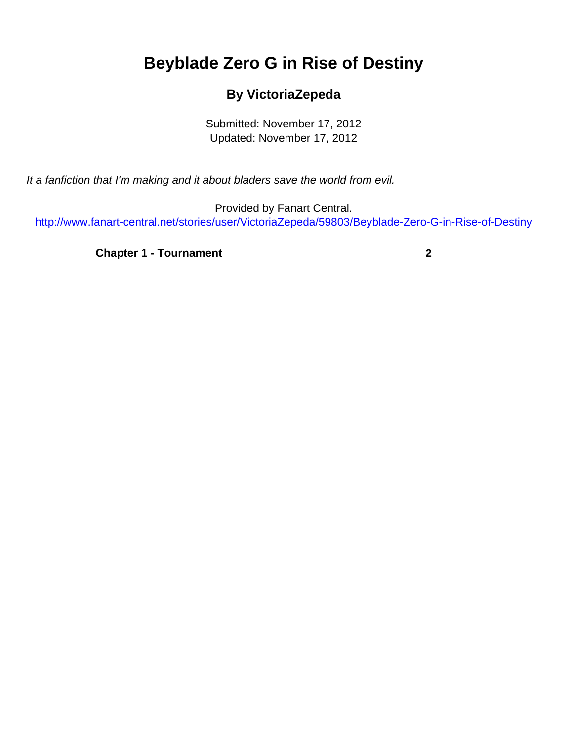## <span id="page-0-0"></span>**Beyblade Zero G in Rise of Destiny**

## **By VictoriaZepeda**

Submitted: November 17, 2012 Updated: November 17, 2012

It a fanfiction that I'm making and it about bladers save the world from evil.

Provided by Fanart Central. [http://www.fanart-central.net/stories/user/VictoriaZepeda/59803/Beyblade-Zero-G-in-Rise-of-Destiny](#page-0-0)

**[Chapter 1 - Tournament](#page-1-0)** [2](#page-1-0)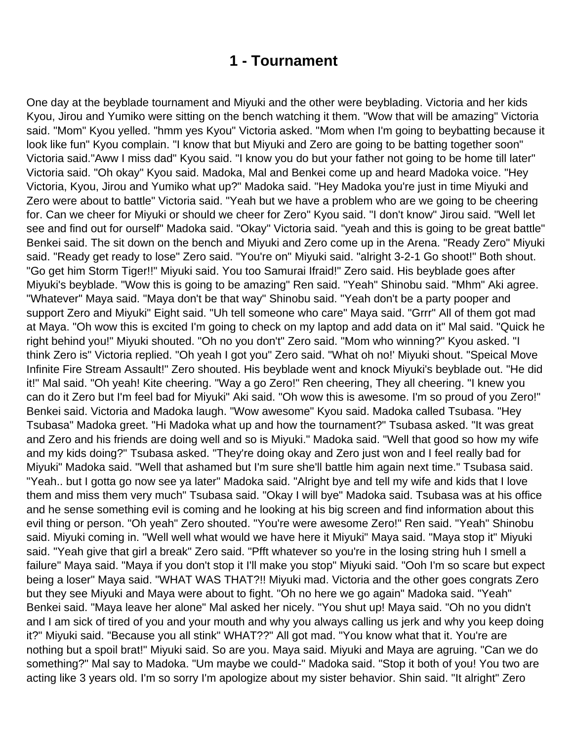## **1 - Tournament**

<span id="page-1-0"></span>One day at the beyblade tournament and Miyuki and the other were beyblading. Victoria and her kids Kyou, Jirou and Yumiko were sitting on the bench watching it them. "Wow that will be amazing" Victoria said. "Mom" Kyou yelled. "hmm yes Kyou" Victoria asked. "Mom when I'm going to beybatting because it look like fun" Kyou complain. "I know that but Miyuki and Zero are going to be batting together soon" Victoria said."Aww I miss dad" Kyou said. "I know you do but your father not going to be home till later" Victoria said. "Oh okay" Kyou said. Madoka, Mal and Benkei come up and heard Madoka voice. "Hey Victoria, Kyou, Jirou and Yumiko what up?" Madoka said. "Hey Madoka you're just in time Miyuki and Zero were about to battle" Victoria said. "Yeah but we have a problem who are we going to be cheering for. Can we cheer for Miyuki or should we cheer for Zero" Kyou said. "I don't know" Jirou said. "Well let see and find out for ourself" Madoka said. "Okay" Victoria said. "yeah and this is going to be great battle" Benkei said. The sit down on the bench and Miyuki and Zero come up in the Arena. "Ready Zero" Miyuki said. "Ready get ready to lose" Zero said. "You're on" Miyuki said. "alright 3-2-1 Go shoot!" Both shout. "Go get him Storm Tiger!!" Miyuki said. You too Samurai Ifraid!" Zero said. His beyblade goes after Miyuki's beyblade. "Wow this is going to be amazing" Ren said. "Yeah" Shinobu said. "Mhm" Aki agree. "Whatever" Maya said. "Maya don't be that way" Shinobu said. "Yeah don't be a party pooper and support Zero and Miyuki" Eight said. "Uh tell someone who care" Maya said. "Grrr" All of them got mad at Maya. "Oh wow this is excited I'm going to check on my laptop and add data on it" Mal said. "Quick he right behind you!" Miyuki shouted. "Oh no you don't" Zero said. "Mom who winning?" Kyou asked. "I think Zero is" Victoria replied. "Oh yeah I got you" Zero said. "What oh no!' Miyuki shout. "Speical Move Infinite Fire Stream Assault!" Zero shouted. His beyblade went and knock Miyuki's beyblade out. "He did it!" Mal said. "Oh yeah! Kite cheering. "Way a go Zero!" Ren cheering, They all cheering. "I knew you can do it Zero but I'm feel bad for Miyuki" Aki said. "Oh wow this is awesome. I'm so proud of you Zero!" Benkei said. Victoria and Madoka laugh. "Wow awesome" Kyou said. Madoka called Tsubasa. "Hey Tsubasa" Madoka greet. "Hi Madoka what up and how the tournament?" Tsubasa asked. "It was great and Zero and his friends are doing well and so is Miyuki." Madoka said. "Well that good so how my wife and my kids doing?" Tsubasa asked. "They're doing okay and Zero just won and I feel really bad for Miyuki" Madoka said. "Well that ashamed but I'm sure she'll battle him again next time." Tsubasa said. "Yeah.. but I gotta go now see ya later" Madoka said. "Alright bye and tell my wife and kids that I love them and miss them very much" Tsubasa said. "Okay I will bye" Madoka said. Tsubasa was at his office and he sense something evil is coming and he looking at his big screen and find information about this evil thing or person. "Oh yeah" Zero shouted. "You're were awesome Zero!" Ren said. "Yeah" Shinobu said. Miyuki coming in. "Well well what would we have here it Miyuki" Maya said. "Maya stop it" Miyuki said. "Yeah give that girl a break" Zero said. "Pfft whatever so you're in the losing string huh I smell a failure" Maya said. "Maya if you don't stop it I'll make you stop" Miyuki said. "Ooh I'm so scare but expect being a loser" Maya said. "WHAT WAS THAT?!! Miyuki mad. Victoria and the other goes congrats Zero but they see Miyuki and Maya were about to fight. "Oh no here we go again" Madoka said. "Yeah" Benkei said. "Maya leave her alone" Mal asked her nicely. "You shut up! Maya said. "Oh no you didn't and I am sick of tired of you and your mouth and why you always calling us jerk and why you keep doing it?" Miyuki said. "Because you all stink" WHAT??" All got mad. "You know what that it. You're are nothing but a spoil brat!" Miyuki said. So are you. Maya said. Miyuki and Maya are agruing. "Can we do something?" Mal say to Madoka. "Um maybe we could-" Madoka said. "Stop it both of you! You two are acting like 3 years old. I'm so sorry I'm apologize about my sister behavior. Shin said. "It alright" Zero